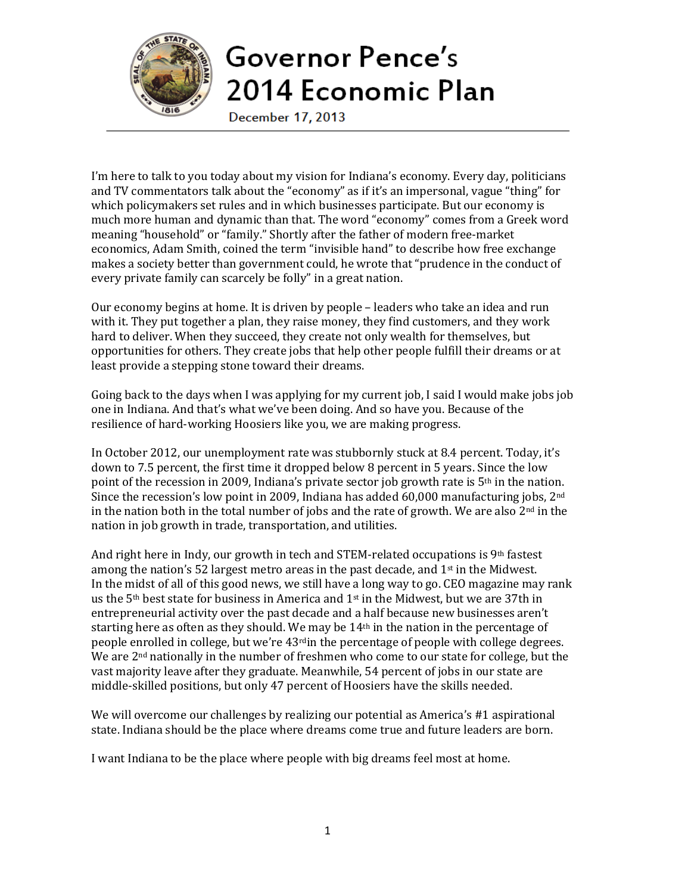

I'm here to talk to you today about my vision for Indiana's economy. Every day, politicians and TV commentators talk about the "economy" as if it's an impersonal, vague "thing" for which policymakers set rules and in which businesses participate. But our economy is much more human and dynamic than that. The word "economy" comes from a Greek word meaning "household" or "family." Shortly after the father of modern free-market economics, Adam Smith, coined the term "invisible hand" to describe how free exchange makes a society better than government could, he wrote that "prudence in the conduct of every private family can scarcely be folly" in a great nation.

Our economy begins at home. It is driven by people – leaders who take an idea and run with it. They put together a plan, they raise money, they find customers, and they work hard to deliver. When they succeed, they create not only wealth for themselves, but opportunities for others. They create jobs that help other people fulfill their dreams or at least provide a stepping stone toward their dreams.

Going back to the days when I was applying for my current job, I said I would make jobs job one in Indiana. And that's what we've been doing. And so have you. Because of the resilience of hard-working Hoosiers like you, we are making progress.

In October 2012, our unemployment rate was stubbornly stuck at 8.4 percent. Today, it's down to 7.5 percent, the first time it dropped below 8 percent in 5 years. Since the low point of the recession in 2009, Indiana's private sector job growth rate is 5th in the nation. Since the recession's low point in 2009, Indiana has added 60,000 manufacturing jobs, 2<sup>nd</sup> in the nation both in the total number of jobs and the rate of growth. We are also  $2<sup>nd</sup>$  in the nation in job growth in trade, transportation, and utilities.

And right here in Indy, our growth in tech and STEM-related occupations is 9<sup>th</sup> fastest among the nation's 52 largest metro areas in the past decade, and  $1<sup>st</sup>$  in the Midwest. In the midst of all of this good news, we still have a long way to go. CEO magazine may rank us the  $5<sup>th</sup>$  best state for business in America and  $1<sup>st</sup>$  in the Midwest, but we are 37th in entrepreneurial activity over the past decade and a half because new businesses aren't starting here as often as they should. We may be 14th in the nation in the percentage of people enrolled in college, but we're 43<sup>rd</sup>in the percentage of people with college degrees. We are 2<sup>nd</sup> nationally in the number of freshmen who come to our state for college, but the vast majority leave after they graduate. Meanwhile, 54 percent of jobs in our state are middle-skilled positions, but only 47 percent of Hoosiers have the skills needed.

We will overcome our challenges by realizing our potential as America's #1 aspirational state. Indiana should be the place where dreams come true and future leaders are born.

I want Indiana to be the place where people with big dreams feel most at home.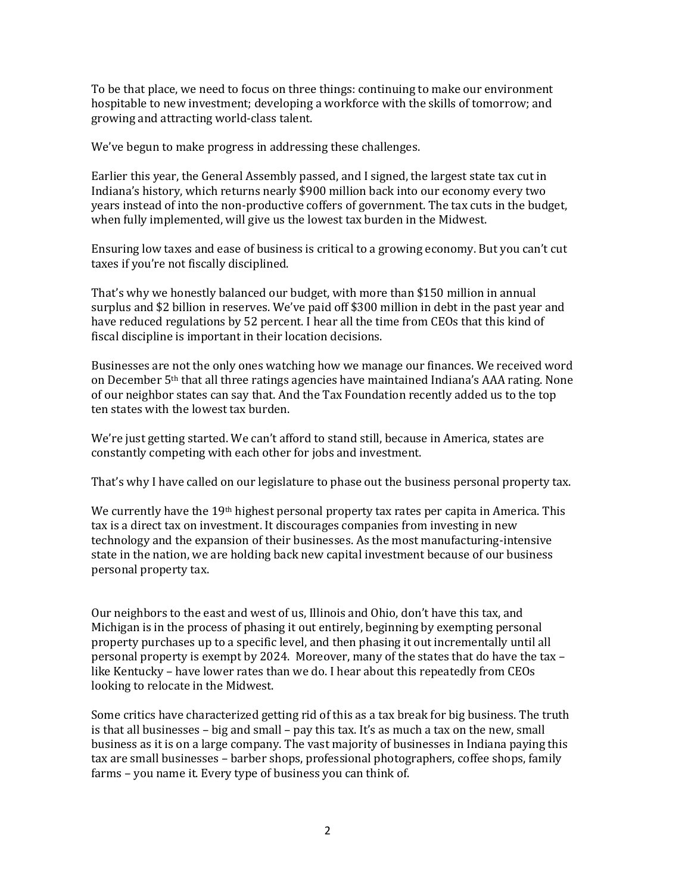To be that place, we need to focus on three things: continuing to make our environment hospitable to new investment; developing a workforce with the skills of tomorrow; and growing and attracting world-class talent.

We've begun to make progress in addressing these challenges.

Earlier this year, the General Assembly passed, and I signed, the largest state tax cut in Indiana's history, which returns nearly \$900 million back into our economy every two years instead of into the non-productive coffers of government. The tax cuts in the budget, when fully implemented, will give us the lowest tax burden in the Midwest.

Ensuring low taxes and ease of business is critical to a growing economy. But you can't cut taxes if you're not fiscally disciplined.

That's why we honestly balanced our budget, with more than \$150 million in annual surplus and \$2 billion in reserves. We've paid off \$300 million in debt in the past year and have reduced regulations by 52 percent. I hear all the time from CEOs that this kind of fiscal discipline is important in their location decisions.

Businesses are not the only ones watching how we manage our finances. We received word on December 5th that all three ratings agencies have maintained Indiana's AAA rating. None of our neighbor states can say that. And the Tax Foundation recently added us to the top ten states with the lowest tax burden.

We're just getting started. We can't afford to stand still, because in America, states are constantly competing with each other for jobs and investment.

That's why I have called on our legislature to phase out the business personal property tax.

We currently have the  $19<sup>th</sup>$  highest personal property tax rates per capita in America. This tax is a direct tax on investment. It discourages companies from investing in new technology and the expansion of their businesses. As the most manufacturing-intensive state in the nation, we are holding back new capital investment because of our business personal property tax.

Our neighbors to the east and west of us, Illinois and Ohio, don't have this tax, and Michigan is in the process of phasing it out entirely, beginning by exempting personal property purchases up to a specific level, and then phasing it out incrementally until all personal property is exempt by 2024. Moreover, many of the states that do have the tax – like Kentucky – have lower rates than we do. I hear about this repeatedly from CEOs looking to relocate in the Midwest.

Some critics have characterized getting rid of this as a tax break for big business. The truth is that all businesses – big and small – pay this tax. It's as much a tax on the new, small business as it is on a large company. The vast majority of businesses in Indiana paying this tax are small businesses – barber shops, professional photographers, coffee shops, family farms – you name it. Every type of business you can think of.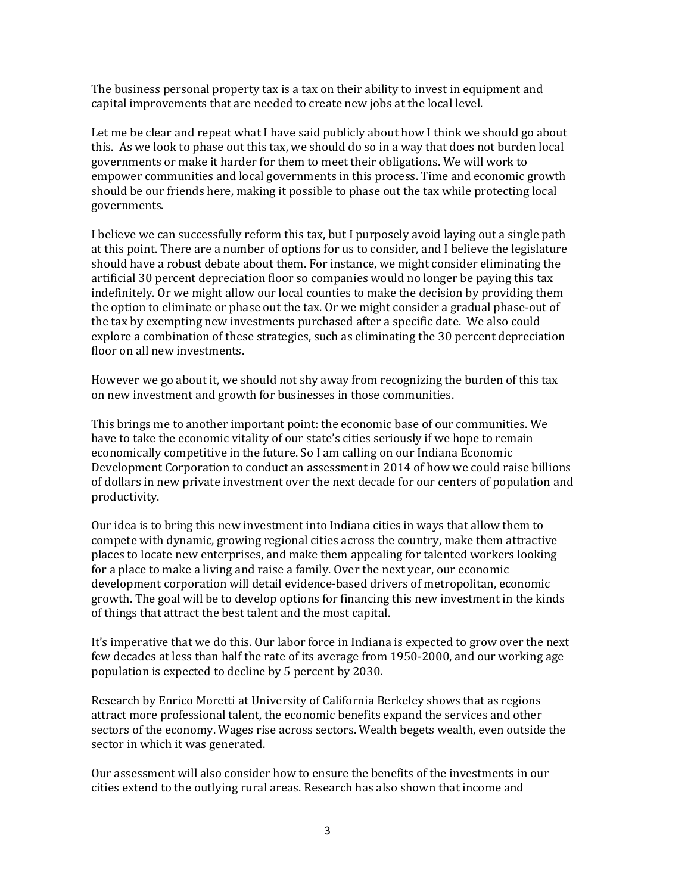The business personal property tax is a tax on their ability to invest in equipment and capital improvements that are needed to create new jobs at the local level.

Let me be clear and repeat what I have said publicly about how I think we should go about this. As we look to phase out this tax, we should do so in a way that does not burden local governments or make it harder for them to meet their obligations. We will work to empower communities and local governments in this process. Time and economic growth should be our friends here, making it possible to phase out the tax while protecting local governments.

I believe we can successfully reform this tax, but I purposely avoid laying out a single path at this point. There are a number of options for us to consider, and I believe the legislature should have a robust debate about them. For instance, we might consider eliminating the artificial 30 percent depreciation floor so companies would no longer be paying this tax indefinitely. Or we might allow our local counties to make the decision by providing them the option to eliminate or phase out the tax. Or we might consider a gradual phase-out of the tax by exempting new investments purchased after a specific date. We also could explore a combination of these strategies, such as eliminating the 30 percent depreciation floor on all new investments.

However we go about it, we should not shy away from recognizing the burden of this tax on new investment and growth for businesses in those communities.

This brings me to another important point: the economic base of our communities. We have to take the economic vitality of our state's cities seriously if we hope to remain economically competitive in the future. So I am calling on our Indiana Economic Development Corporation to conduct an assessment in 2014 of how we could raise billions of dollars in new private investment over the next decade for our centers of population and productivity.

Our idea is to bring this new investment into Indiana cities in ways that allow them to compete with dynamic, growing regional cities across the country, make them attractive places to locate new enterprises, and make them appealing for talented workers looking for a place to make a living and raise a family. Over the next year, our economic development corporation will detail evidence-based drivers of metropolitan, economic growth. The goal will be to develop options for financing this new investment in the kinds of things that attract the best talent and the most capital.

It's imperative that we do this. Our labor force in Indiana is expected to grow over the next few decades at less than half the rate of its average from 1950-2000, and our working age population is expected to decline by 5 percent by 2030.

Research by Enrico Moretti at University of California Berkeley shows that as regions attract more professional talent, the economic benefits expand the services and other sectors of the economy. Wages rise across sectors. Wealth begets wealth, even outside the sector in which it was generated.

Our assessment will also consider how to ensure the benefits of the investments in our cities extend to the outlying rural areas. Research has also shown that income and